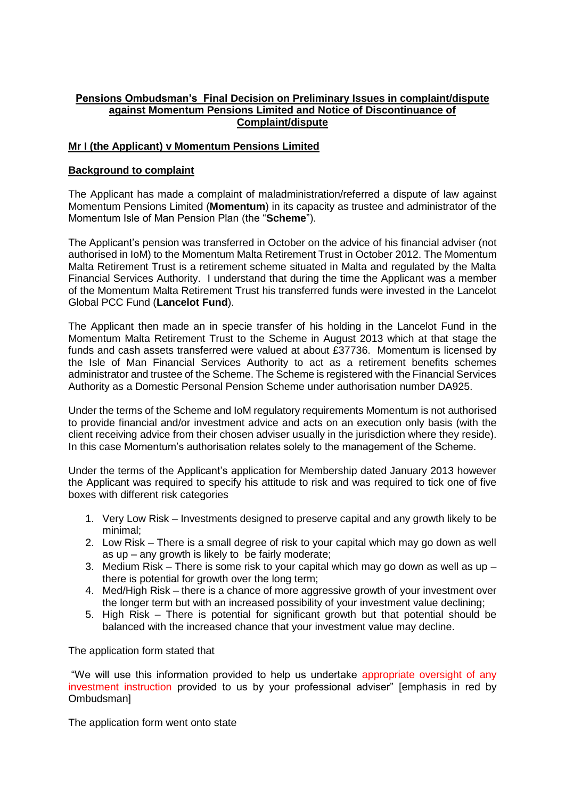# **Pensions Ombudsman's Final Decision on Preliminary Issues in complaint/dispute against Momentum Pensions Limited and Notice of Discontinuance of Complaint/dispute**

## **Mr I (the Applicant) v Momentum Pensions Limited**

## **Background to complaint**

The Applicant has made a complaint of maladministration/referred a dispute of law against Momentum Pensions Limited (**Momentum**) in its capacity as trustee and administrator of the Momentum Isle of Man Pension Plan (the "**Scheme**").

The Applicant's pension was transferred in October on the advice of his financial adviser (not authorised in IoM) to the Momentum Malta Retirement Trust in October 2012. The Momentum Malta Retirement Trust is a retirement scheme situated in Malta and regulated by the Malta Financial Services Authority. I understand that during the time the Applicant was a member of the Momentum Malta Retirement Trust his transferred funds were invested in the Lancelot Global PCC Fund (**Lancelot Fund**).

The Applicant then made an in specie transfer of his holding in the Lancelot Fund in the Momentum Malta Retirement Trust to the Scheme in August 2013 which at that stage the funds and cash assets transferred were valued at about £37736. Momentum is licensed by the Isle of Man Financial Services Authority to act as a retirement benefits schemes administrator and trustee of the Scheme. The Scheme is registered with the Financial Services Authority as a Domestic Personal Pension Scheme under authorisation number DA925.

Under the terms of the Scheme and IoM regulatory requirements Momentum is not authorised to provide financial and/or investment advice and acts on an execution only basis (with the client receiving advice from their chosen adviser usually in the jurisdiction where they reside). In this case Momentum's authorisation relates solely to the management of the Scheme.

Under the terms of the Applicant's application for Membership dated January 2013 however the Applicant was required to specify his attitude to risk and was required to tick one of five boxes with different risk categories

- 1. Very Low Risk Investments designed to preserve capital and any growth likely to be minimal;
- 2. Low Risk There is a small degree of risk to your capital which may go down as well as up – any growth is likely to be fairly moderate;
- 3. Medium Risk There is some risk to your capital which may go down as well as up there is potential for growth over the long term;
- 4. Med/High Risk there is a chance of more aggressive growth of your investment over the longer term but with an increased possibility of your investment value declining;
- 5. High Risk There is potential for significant growth but that potential should be balanced with the increased chance that your investment value may decline.

The application form stated that

"We will use this information provided to help us undertake appropriate oversight of any investment instruction provided to us by your professional adviser" [emphasis in red by Ombudsman]

The application form went onto state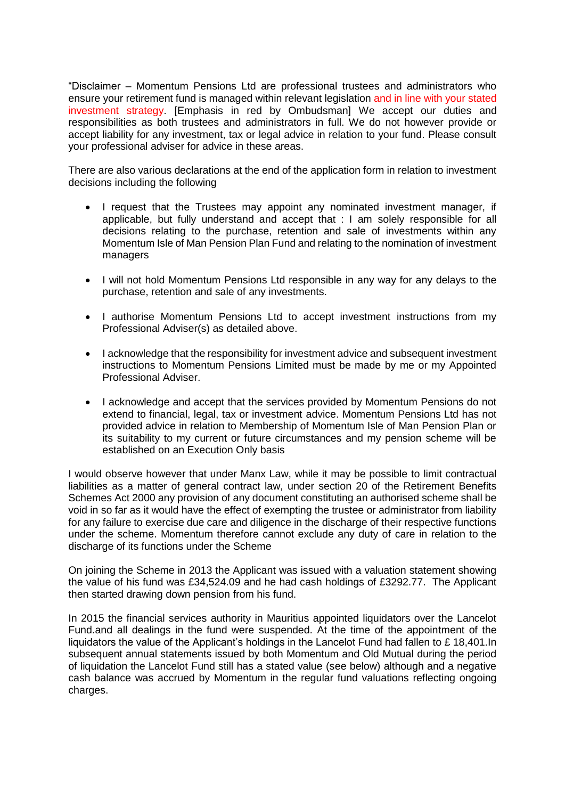"Disclaimer – Momentum Pensions Ltd are professional trustees and administrators who ensure your retirement fund is managed within relevant legislation and in line with your stated investment strategy. [Emphasis in red by Ombudsman] We accept our duties and responsibilities as both trustees and administrators in full. We do not however provide or accept liability for any investment, tax or legal advice in relation to your fund. Please consult your professional adviser for advice in these areas.

There are also various declarations at the end of the application form in relation to investment decisions including the following

- I request that the Trustees may appoint any nominated investment manager, if applicable, but fully understand and accept that : I am solely responsible for all decisions relating to the purchase, retention and sale of investments within any Momentum Isle of Man Pension Plan Fund and relating to the nomination of investment managers
- I will not hold Momentum Pensions Ltd responsible in any way for any delays to the purchase, retention and sale of any investments.
- I authorise Momentum Pensions Ltd to accept investment instructions from my Professional Adviser(s) as detailed above.
- I acknowledge that the responsibility for investment advice and subsequent investment instructions to Momentum Pensions Limited must be made by me or my Appointed Professional Adviser.
- I acknowledge and accept that the services provided by Momentum Pensions do not extend to financial, legal, tax or investment advice. Momentum Pensions Ltd has not provided advice in relation to Membership of Momentum Isle of Man Pension Plan or its suitability to my current or future circumstances and my pension scheme will be established on an Execution Only basis

I would observe however that under Manx Law, while it may be possible to limit contractual liabilities as a matter of general contract law, under section 20 of the Retirement Benefits Schemes Act 2000 any provision of any document constituting an authorised scheme shall be void in so far as it would have the effect of exempting the trustee or administrator from liability for any failure to exercise due care and diligence in the discharge of their respective functions under the scheme. Momentum therefore cannot exclude any duty of care in relation to the discharge of its functions under the Scheme

On joining the Scheme in 2013 the Applicant was issued with a valuation statement showing the value of his fund was £34,524.09 and he had cash holdings of £3292.77. The Applicant then started drawing down pension from his fund.

In 2015 the financial services authority in Mauritius appointed liquidators over the Lancelot Fund.and all dealings in the fund were suspended. At the time of the appointment of the liquidators the value of the Applicant's holdings in the Lancelot Fund had fallen to £ 18,401.In subsequent annual statements issued by both Momentum and Old Mutual during the period of liquidation the Lancelot Fund still has a stated value (see below) although and a negative cash balance was accrued by Momentum in the regular fund valuations reflecting ongoing charges.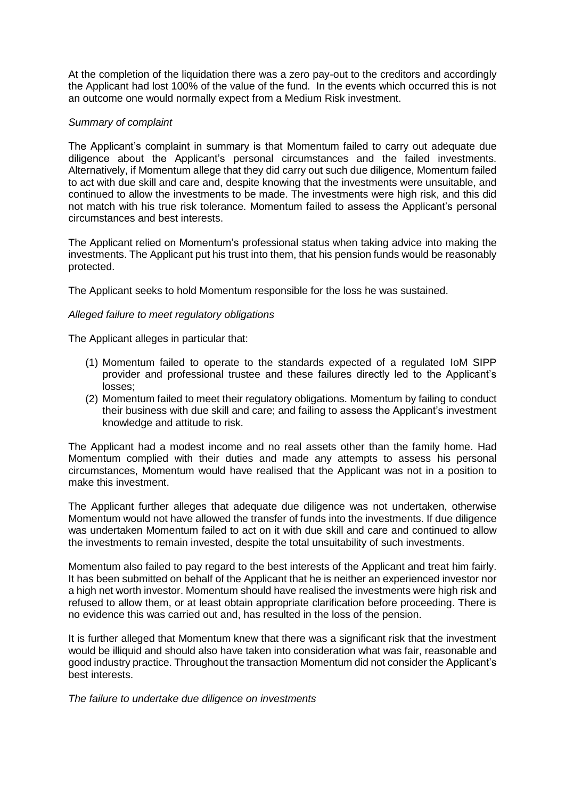At the completion of the liquidation there was a zero pay-out to the creditors and accordingly the Applicant had lost 100% of the value of the fund. In the events which occurred this is not an outcome one would normally expect from a Medium Risk investment.

### *Summary of complaint*

The Applicant's complaint in summary is that Momentum failed to carry out adequate due diligence about the Applicant's personal circumstances and the failed investments. Alternatively, if Momentum allege that they did carry out such due diligence, Momentum failed to act with due skill and care and, despite knowing that the investments were unsuitable, and continued to allow the investments to be made. The investments were high risk, and this did not match with his true risk tolerance. Momentum failed to assess the Applicant's personal circumstances and best interests.

The Applicant relied on Momentum's professional status when taking advice into making the investments. The Applicant put his trust into them, that his pension funds would be reasonably protected.

The Applicant seeks to hold Momentum responsible for the loss he was sustained.

## *Alleged failure to meet regulatory obligations*

The Applicant alleges in particular that:

- (1) Momentum failed to operate to the standards expected of a regulated IoM SIPP provider and professional trustee and these failures directly led to the Applicant's losses;
- (2) Momentum failed to meet their regulatory obligations. Momentum by failing to conduct their business with due skill and care; and failing to assess the Applicant's investment knowledge and attitude to risk.

The Applicant had a modest income and no real assets other than the family home. Had Momentum complied with their duties and made any attempts to assess his personal circumstances, Momentum would have realised that the Applicant was not in a position to make this investment.

The Applicant further alleges that adequate due diligence was not undertaken, otherwise Momentum would not have allowed the transfer of funds into the investments. If due diligence was undertaken Momentum failed to act on it with due skill and care and continued to allow the investments to remain invested, despite the total unsuitability of such investments.

Momentum also failed to pay regard to the best interests of the Applicant and treat him fairly. It has been submitted on behalf of the Applicant that he is neither an experienced investor nor a high net worth investor. Momentum should have realised the investments were high risk and refused to allow them, or at least obtain appropriate clarification before proceeding. There is no evidence this was carried out and, has resulted in the loss of the pension.

It is further alleged that Momentum knew that there was a significant risk that the investment would be illiquid and should also have taken into consideration what was fair, reasonable and good industry practice. Throughout the transaction Momentum did not consider the Applicant's best interests.

*The failure to undertake due diligence on investments*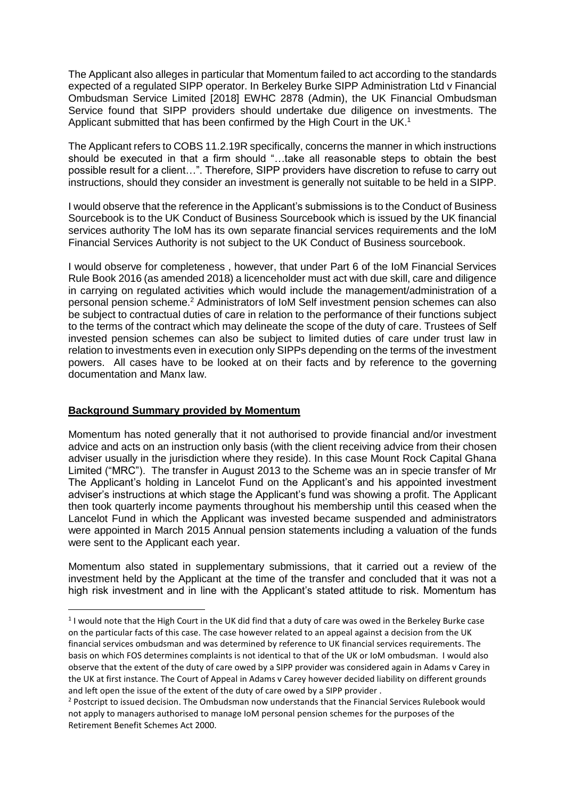The Applicant also alleges in particular that Momentum failed to act according to the standards expected of a regulated SIPP operator. In Berkeley Burke SIPP Administration Ltd v Financial Ombudsman Service Limited [2018] EWHC 2878 (Admin), the UK Financial Ombudsman Service found that SIPP providers should undertake due diligence on investments. The Applicant submitted that has been confirmed by the High Court in the UK.<sup>1</sup>

The Applicant refers to COBS 11.2.19R specifically, concerns the manner in which instructions should be executed in that a firm should "…take all reasonable steps to obtain the best possible result for a client…". Therefore, SIPP providers have discretion to refuse to carry out instructions, should they consider an investment is generally not suitable to be held in a SIPP.

I would observe that the reference in the Applicant's submissions is to the Conduct of Business Sourcebook is to the UK Conduct of Business Sourcebook which is issued by the UK financial services authority The IoM has its own separate financial services requirements and the IoM Financial Services Authority is not subject to the UK Conduct of Business sourcebook.

I would observe for completeness , however, that under Part 6 of the IoM Financial Services Rule Book 2016 (as amended 2018) a licenceholder must act with due skill, care and diligence in carrying on regulated activities which would include the management/administration of a personal pension scheme. <sup>2</sup> Administrators of IoM Self investment pension schemes can also be subject to contractual duties of care in relation to the performance of their functions subject to the terms of the contract which may delineate the scope of the duty of care. Trustees of Self invested pension schemes can also be subject to limited duties of care under trust law in relation to investments even in execution only SIPPs depending on the terms of the investment powers. All cases have to be looked at on their facts and by reference to the governing documentation and Manx law.

## **Background Summary provided by Momentum**

1

Momentum has noted generally that it not authorised to provide financial and/or investment advice and acts on an instruction only basis (with the client receiving advice from their chosen adviser usually in the jurisdiction where they reside). In this case Mount Rock Capital Ghana Limited ("MRC"). The transfer in August 2013 to the Scheme was an in specie transfer of Mr The Applicant's holding in Lancelot Fund on the Applicant's and his appointed investment adviser's instructions at which stage the Applicant's fund was showing a profit. The Applicant then took quarterly income payments throughout his membership until this ceased when the Lancelot Fund in which the Applicant was invested became suspended and administrators were appointed in March 2015 Annual pension statements including a valuation of the funds were sent to the Applicant each year.

Momentum also stated in supplementary submissions, that it carried out a review of the investment held by the Applicant at the time of the transfer and concluded that it was not a high risk investment and in line with the Applicant's stated attitude to risk. Momentum has

 $1$  I would note that the High Court in the UK did find that a duty of care was owed in the Berkeley Burke case on the particular facts of this case. The case however related to an appeal against a decision from the UK financial services ombudsman and was determined by reference to UK financial services requirements. The basis on which FOS determines complaints is not identical to that of the UK or IoM ombudsman. I would also observe that the extent of the duty of care owed by a SIPP provider was considered again in Adams v Carey in the UK at first instance. The Court of Appeal in Adams v Carey however decided liability on different grounds and left open the issue of the extent of the duty of care owed by a SIPP provider .

<sup>&</sup>lt;sup>2</sup> Postcript to issued decision. The Ombudsman now understands that the Financial Services Rulebook would not apply to managers authorised to manage IoM personal pension schemes for the purposes of the Retirement Benefit Schemes Act 2000.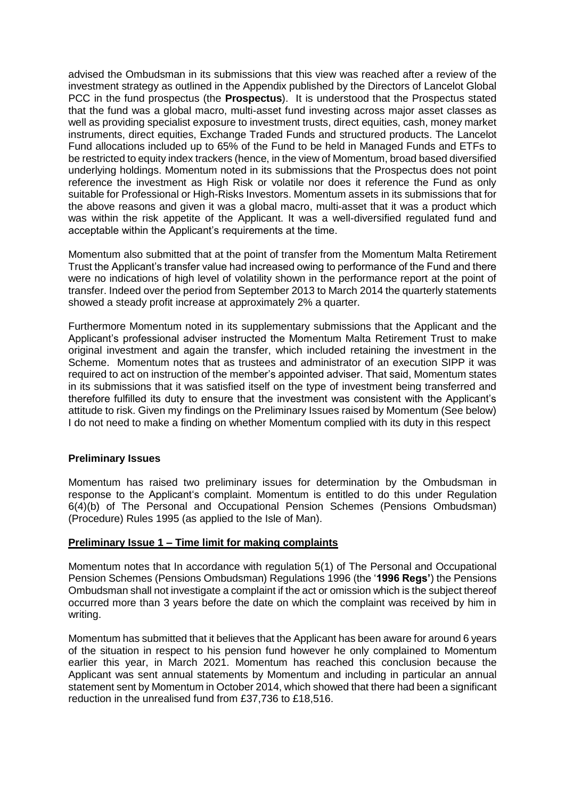advised the Ombudsman in its submissions that this view was reached after a review of the investment strategy as outlined in the Appendix published by the Directors of Lancelot Global PCC in the fund prospectus (the **Prospectus**). It is understood that the Prospectus stated that the fund was a global macro, multi-asset fund investing across major asset classes as well as providing specialist exposure to investment trusts, direct equities, cash, money market instruments, direct equities, Exchange Traded Funds and structured products. The Lancelot Fund allocations included up to 65% of the Fund to be held in Managed Funds and ETFs to be restricted to equity index trackers (hence, in the view of Momentum, broad based diversified underlying holdings. Momentum noted in its submissions that the Prospectus does not point reference the investment as High Risk or volatile nor does it reference the Fund as only suitable for Professional or High-Risks Investors. Momentum assets in its submissions that for the above reasons and given it was a global macro, multi-asset that it was a product which was within the risk appetite of the Applicant. It was a well-diversified regulated fund and acceptable within the Applicant's requirements at the time.

Momentum also submitted that at the point of transfer from the Momentum Malta Retirement Trust the Applicant's transfer value had increased owing to performance of the Fund and there were no indications of high level of volatility shown in the performance report at the point of transfer. Indeed over the period from September 2013 to March 2014 the quarterly statements showed a steady profit increase at approximately 2% a quarter.

Furthermore Momentum noted in its supplementary submissions that the Applicant and the Applicant's professional adviser instructed the Momentum Malta Retirement Trust to make original investment and again the transfer, which included retaining the investment in the Scheme. Momentum notes that as trustees and administrator of an execution SIPP it was required to act on instruction of the member's appointed adviser. That said, Momentum states in its submissions that it was satisfied itself on the type of investment being transferred and therefore fulfilled its duty to ensure that the investment was consistent with the Applicant's attitude to risk. Given my findings on the Preliminary Issues raised by Momentum (See below) I do not need to make a finding on whether Momentum complied with its duty in this respect

## **Preliminary Issues**

Momentum has raised two preliminary issues for determination by the Ombudsman in response to the Applicant's complaint. Momentum is entitled to do this under Regulation 6(4)(b) of The Personal and Occupational Pension Schemes (Pensions Ombudsman) (Procedure) Rules 1995 (as applied to the Isle of Man).

#### **Preliminary Issue 1 – Time limit for making complaints**

Momentum notes that In accordance with regulation 5(1) of The Personal and Occupational Pension Schemes (Pensions Ombudsman) Regulations 1996 (the '**1996 Regs'**) the Pensions Ombudsman shall not investigate a complaint if the act or omission which is the subject thereof occurred more than 3 years before the date on which the complaint was received by him in writing.

Momentum has submitted that it believes that the Applicant has been aware for around 6 years of the situation in respect to his pension fund however he only complained to Momentum earlier this year, in March 2021. Momentum has reached this conclusion because the Applicant was sent annual statements by Momentum and including in particular an annual statement sent by Momentum in October 2014, which showed that there had been a significant reduction in the unrealised fund from £37,736 to £18,516.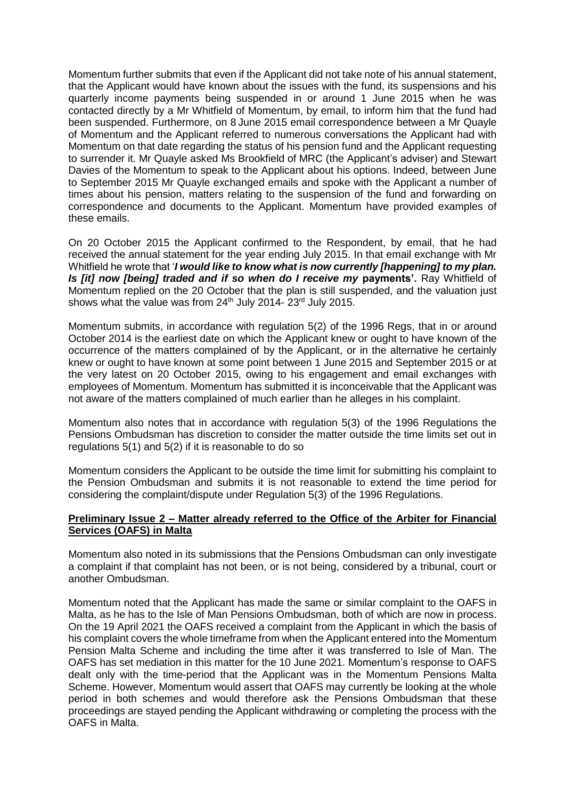Momentum further submits that even if the Applicant did not take note of his annual statement, that the Applicant would have known about the issues with the fund, its suspensions and his quarterly income payments being suspended in or around 1 June 2015 when he was contacted directly by a Mr Whitfield of Momentum, by email, to inform him that the fund had been suspended. Furthermore, on 8 June 2015 email correspondence between a Mr Quayle of Momentum and the Applicant referred to numerous conversations the Applicant had with Momentum on that date regarding the status of his pension fund and the Applicant requesting to surrender it. Mr Quayle asked Ms Brookfield of MRC (the Applicant's adviser) and Stewart Davies of the Momentum to speak to the Applicant about his options. Indeed, between June to September 2015 Mr Quayle exchanged emails and spoke with the Applicant a number of times about his pension, matters relating to the suspension of the fund and forwarding on correspondence and documents to the Applicant. Momentum have provided examples of these emails.

On 20 October 2015 the Applicant confirmed to the Respondent, by email, that he had received the annual statement for the year ending July 2015. In that email exchange with Mr Whitfield he wrote that '*I would like to know what is now currently [happening] to my plan. Is [it] now [being] traded and if so when do I receive my* **payments'.** Ray Whitfield of Momentum replied on the 20 October that the plan is still suspended, and the valuation just shows what the value was from  $24<sup>th</sup>$  July  $2014 - 23<sup>rd</sup>$  July 2015.

Momentum submits, in accordance with regulation 5(2) of the 1996 Regs, that in or around October 2014 is the earliest date on which the Applicant knew or ought to have known of the occurrence of the matters complained of by the Applicant, or in the alternative he certainly knew or ought to have known at some point between 1 June 2015 and September 2015 or at the very latest on 20 October 2015, owing to his engagement and email exchanges with employees of Momentum. Momentum has submitted it is inconceivable that the Applicant was not aware of the matters complained of much earlier than he alleges in his complaint.

Momentum also notes that in accordance with regulation 5(3) of the 1996 Regulations the Pensions Ombudsman has discretion to consider the matter outside the time limits set out in regulations 5(1) and 5(2) if it is reasonable to do so

Momentum considers the Applicant to be outside the time limit for submitting his complaint to the Pension Ombudsman and submits it is not reasonable to extend the time period for considering the complaint/dispute under Regulation 5(3) of the 1996 Regulations.

## **Preliminary Issue 2 – Matter already referred to the Office of the Arbiter for Financial Services (OAFS) in Malta**

Momentum also noted in its submissions that the Pensions Ombudsman can only investigate a complaint if that complaint has not been, or is not being, considered by a tribunal, court or another Ombudsman.

Momentum noted that the Applicant has made the same or similar complaint to the OAFS in Malta, as he has to the Isle of Man Pensions Ombudsman, both of which are now in process. On the 19 April 2021 the OAFS received a complaint from the Applicant in which the basis of his complaint covers the whole timeframe from when the Applicant entered into the Momentum Pension Malta Scheme and including the time after it was transferred to Isle of Man. The OAFS has set mediation in this matter for the 10 June 2021. Momentum's response to OAFS dealt only with the time-period that the Applicant was in the Momentum Pensions Malta Scheme. However, Momentum would assert that OAFS may currently be looking at the whole period in both schemes and would therefore ask the Pensions Ombudsman that these proceedings are stayed pending the Applicant withdrawing or completing the process with the OAFS in Malta.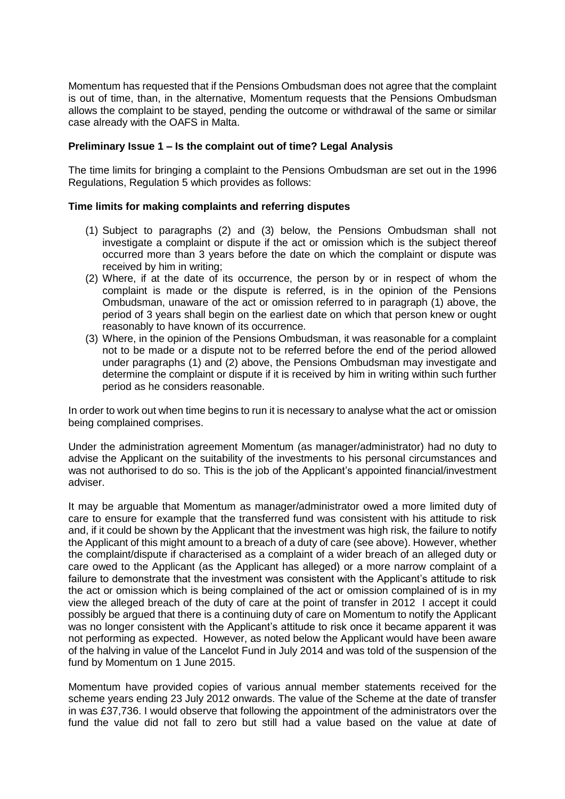Momentum has requested that if the Pensions Ombudsman does not agree that the complaint is out of time, than, in the alternative, Momentum requests that the Pensions Ombudsman allows the complaint to be stayed, pending the outcome or withdrawal of the same or similar case already with the OAFS in Malta.

### **Preliminary Issue 1 – Is the complaint out of time? Legal Analysis**

The time limits for bringing a complaint to the Pensions Ombudsman are set out in the 1996 Regulations, Regulation 5 which provides as follows:

### **Time limits for making complaints and referring disputes**

- (1) Subject to paragraphs (2) and (3) below, the Pensions Ombudsman shall not investigate a complaint or dispute if the act or omission which is the subject thereof occurred more than 3 years before the date on which the complaint or dispute was received by him in writing;
- (2) Where, if at the date of its occurrence, the person by or in respect of whom the complaint is made or the dispute is referred, is in the opinion of the Pensions Ombudsman, unaware of the act or omission referred to in paragraph (1) above, the period of 3 years shall begin on the earliest date on which that person knew or ought reasonably to have known of its occurrence.
- (3) Where, in the opinion of the Pensions Ombudsman, it was reasonable for a complaint not to be made or a dispute not to be referred before the end of the period allowed under paragraphs (1) and (2) above, the Pensions Ombudsman may investigate and determine the complaint or dispute if it is received by him in writing within such further period as he considers reasonable.

In order to work out when time begins to run it is necessary to analyse what the act or omission being complained comprises.

Under the administration agreement Momentum (as manager/administrator) had no duty to advise the Applicant on the suitability of the investments to his personal circumstances and was not authorised to do so. This is the job of the Applicant's appointed financial/investment adviser.

It may be arguable that Momentum as manager/administrator owed a more limited duty of care to ensure for example that the transferred fund was consistent with his attitude to risk and, if it could be shown by the Applicant that the investment was high risk, the failure to notify the Applicant of this might amount to a breach of a duty of care (see above). However, whether the complaint/dispute if characterised as a complaint of a wider breach of an alleged duty or care owed to the Applicant (as the Applicant has alleged) or a more narrow complaint of a failure to demonstrate that the investment was consistent with the Applicant's attitude to risk the act or omission which is being complained of the act or omission complained of is in my view the alleged breach of the duty of care at the point of transfer in 2012 I accept it could possibly be argued that there is a continuing duty of care on Momentum to notify the Applicant was no longer consistent with the Applicant's attitude to risk once it became apparent it was not performing as expected. However, as noted below the Applicant would have been aware of the halving in value of the Lancelot Fund in July 2014 and was told of the suspension of the fund by Momentum on 1 June 2015.

Momentum have provided copies of various annual member statements received for the scheme years ending 23 July 2012 onwards. The value of the Scheme at the date of transfer in was £37,736. I would observe that following the appointment of the administrators over the fund the value did not fall to zero but still had a value based on the value at date of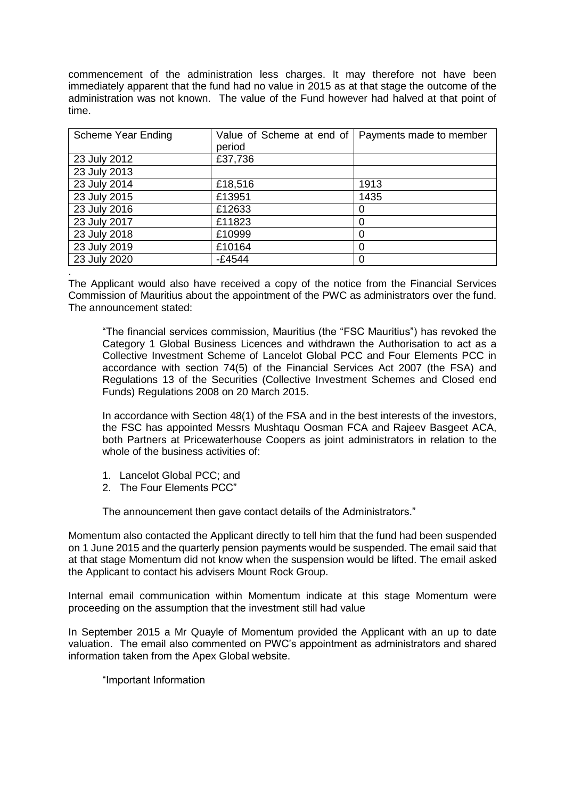commencement of the administration less charges. It may therefore not have been immediately apparent that the fund had no value in 2015 as at that stage the outcome of the administration was not known. The value of the Fund however had halved at that point of time.

| Scheme Year Ending | Value of Scheme at end of | Payments made to member |
|--------------------|---------------------------|-------------------------|
|                    | period                    |                         |
| 23 July 2012       | £37,736                   |                         |
| 23 July 2013       |                           |                         |
| 23 July 2014       | £18,516                   | 1913                    |
| 23 July 2015       | £13951                    | 1435                    |
| 23 July 2016       | £12633                    | O                       |
| 23 July 2017       | £11823                    | 0                       |
| 23 July 2018       | £10999                    | 0                       |
| 23 July 2019       | £10164                    | 0                       |
| 23 July 2020       | $-£4544$                  |                         |
|                    |                           |                         |

The Applicant would also have received a copy of the notice from the Financial Services Commission of Mauritius about the appointment of the PWC as administrators over the fund. The announcement stated:

"The financial services commission, Mauritius (the "FSC Mauritius") has revoked the Category 1 Global Business Licences and withdrawn the Authorisation to act as a Collective Investment Scheme of Lancelot Global PCC and Four Elements PCC in accordance with section 74(5) of the Financial Services Act 2007 (the FSA) and Regulations 13 of the Securities (Collective Investment Schemes and Closed end Funds) Regulations 2008 on 20 March 2015.

In accordance with Section 48(1) of the FSA and in the best interests of the investors, the FSC has appointed Messrs Mushtaqu Oosman FCA and Rajeev Basgeet ACA, both Partners at Pricewaterhouse Coopers as joint administrators in relation to the whole of the business activities of:

- 1. Lancelot Global PCC; and
- 2. The Four Elements PCC"

The announcement then gave contact details of the Administrators."

Momentum also contacted the Applicant directly to tell him that the fund had been suspended on 1 June 2015 and the quarterly pension payments would be suspended. The email said that at that stage Momentum did not know when the suspension would be lifted. The email asked the Applicant to contact his advisers Mount Rock Group.

Internal email communication within Momentum indicate at this stage Momentum were proceeding on the assumption that the investment still had value

In September 2015 a Mr Quayle of Momentum provided the Applicant with an up to date valuation. The email also commented on PWC's appointment as administrators and shared information taken from the Apex Global website.

"Important Information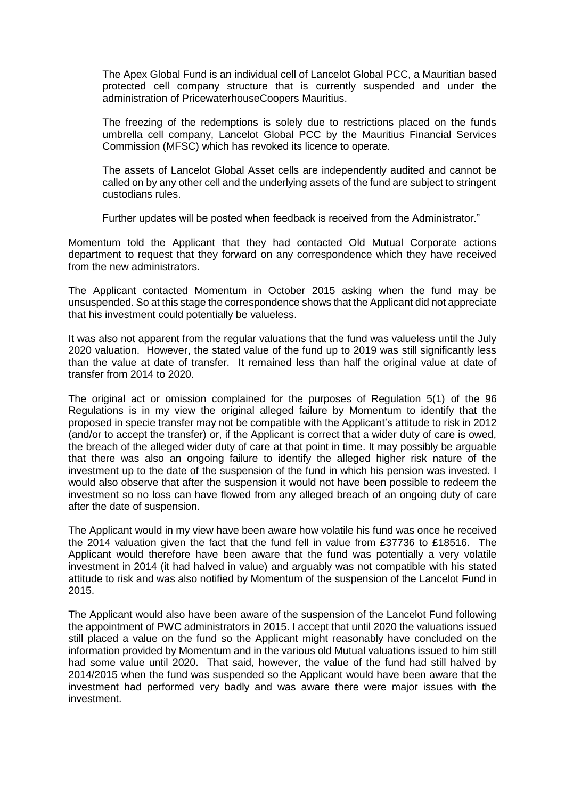The Apex Global Fund is an individual cell of Lancelot Global PCC, a Mauritian based protected cell company structure that is currently suspended and under the administration of PricewaterhouseCoopers Mauritius.

The freezing of the redemptions is solely due to restrictions placed on the funds umbrella cell company, Lancelot Global PCC by the Mauritius Financial Services Commission (MFSC) which has revoked its licence to operate.

The assets of Lancelot Global Asset cells are independently audited and cannot be called on by any other cell and the underlying assets of the fund are subject to stringent custodians rules.

Further updates will be posted when feedback is received from the Administrator."

Momentum told the Applicant that they had contacted Old Mutual Corporate actions department to request that they forward on any correspondence which they have received from the new administrators.

The Applicant contacted Momentum in October 2015 asking when the fund may be unsuspended. So at this stage the correspondence shows that the Applicant did not appreciate that his investment could potentially be valueless.

It was also not apparent from the regular valuations that the fund was valueless until the July 2020 valuation. However, the stated value of the fund up to 2019 was still significantly less than the value at date of transfer. It remained less than half the original value at date of transfer from 2014 to 2020.

The original act or omission complained for the purposes of Regulation 5(1) of the 96 Regulations is in my view the original alleged failure by Momentum to identify that the proposed in specie transfer may not be compatible with the Applicant's attitude to risk in 2012 (and/or to accept the transfer) or, if the Applicant is correct that a wider duty of care is owed, the breach of the alleged wider duty of care at that point in time. It may possibly be arguable that there was also an ongoing failure to identify the alleged higher risk nature of the investment up to the date of the suspension of the fund in which his pension was invested. I would also observe that after the suspension it would not have been possible to redeem the investment so no loss can have flowed from any alleged breach of an ongoing duty of care after the date of suspension.

The Applicant would in my view have been aware how volatile his fund was once he received the 2014 valuation given the fact that the fund fell in value from £37736 to £18516. The Applicant would therefore have been aware that the fund was potentially a very volatile investment in 2014 (it had halved in value) and arguably was not compatible with his stated attitude to risk and was also notified by Momentum of the suspension of the Lancelot Fund in 2015.

The Applicant would also have been aware of the suspension of the Lancelot Fund following the appointment of PWC administrators in 2015. I accept that until 2020 the valuations issued still placed a value on the fund so the Applicant might reasonably have concluded on the information provided by Momentum and in the various old Mutual valuations issued to him still had some value until 2020. That said, however, the value of the fund had still halved by 2014/2015 when the fund was suspended so the Applicant would have been aware that the investment had performed very badly and was aware there were major issues with the investment.